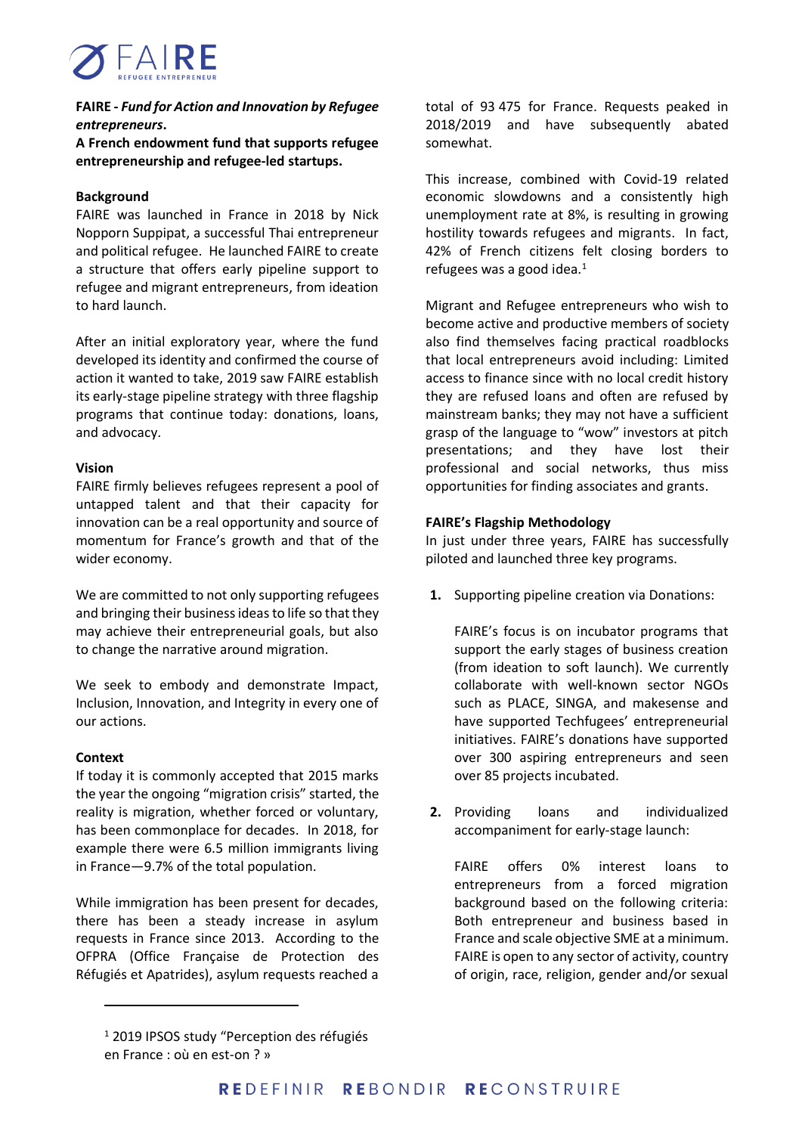

# **FAIRE -** *Fund for Action and Innovation by Refugee entrepreneurs***.**

**A French endowment fund that supports refugee entrepreneurship and refugee-led startups.**

## **Background**

FAIRE was launched in France in 2018 by Nick Nopporn Suppipat, a successful Thai entrepreneur and political refugee. He launched FAIRE to create a structure that offers early pipeline support to refugee and migrant entrepreneurs, from ideation to hard launch.

After an initial exploratory year, where the fund developed its identity and confirmed the course of action it wanted to take, 2019 saw FAIRE establish its early-stage pipeline strategy with three flagship programs that continue today: donations, loans, and advocacy.

# **Vision**

FAIRE firmly believes refugees represent a pool of untapped talent and that their capacity for innovation can be a real opportunity and source of momentum for France's growth and that of the wider economy.

We are committed to not only supporting refugees and bringing their business ideasto life so that they may achieve their entrepreneurial goals, but also to change the narrative around migration.

We seek to embody and demonstrate Impact, Inclusion, Innovation, and Integrity in every one of our actions.

## **Context**

If today it is commonly accepted that 2015 marks the year the ongoing "migration crisis" started, the reality is migration, whether forced or voluntary, has been commonplace for decades. In 2018, for example there were 6.5 million immigrants living in France—9.7% of the total population.

While immigration has been present for decades, there has been a steady increase in asylum requests in France since 2013. According to the OFPRA (Office Française de Protection des Réfugiés et Apatrides), asylum requests reached a

total of 93 475 for France. Requests peaked in 2018/2019 and have subsequently abated somewhat.

This increase, combined with Covid-19 related economic slowdowns and a consistently high unemployment rate at 8%, is resulting in growing hostility towards refugees and migrants. In fact, 42% of French citizens felt closing borders to refugees was a good idea.<sup>1</sup>

Migrant and Refugee entrepreneurs who wish to become active and productive members of society also find themselves facing practical roadblocks that local entrepreneurs avoid including: Limited access to finance since with no local credit history they are refused loans and often are refused by mainstream banks; they may not have a sufficient grasp of the language to "wow" investors at pitch presentations; and they have lost their professional and social networks, thus miss opportunities for finding associates and grants.

## **FAIRE's Flagship Methodology**

In just under three years, FAIRE has successfully piloted and launched three key programs.

**1.** Supporting pipeline creation via Donations:

FAIRE's focus is on incubator programs that support the early stages of business creation (from ideation to soft launch). We currently collaborate with well-known sector NGOs such as PLACE, SINGA, and makesense and have supported Techfugees' entrepreneurial initiatives. FAIRE's donations have supported over 300 aspiring entrepreneurs and seen over 85 projects incubated.

**2.** Providing loans and individualized accompaniment for early-stage launch:

FAIRE offers 0% interest loans to entrepreneurs from a forced migration background based on the following criteria: Both entrepreneur and business based in France and scale objective SME at a minimum. FAIRE is open to any sector of activity, country of origin, race, religion, gender and/or sexual

<sup>&</sup>lt;sup>1</sup> 2019 IPSOS study "Perception des réfugiés en France : où en est-on ? »